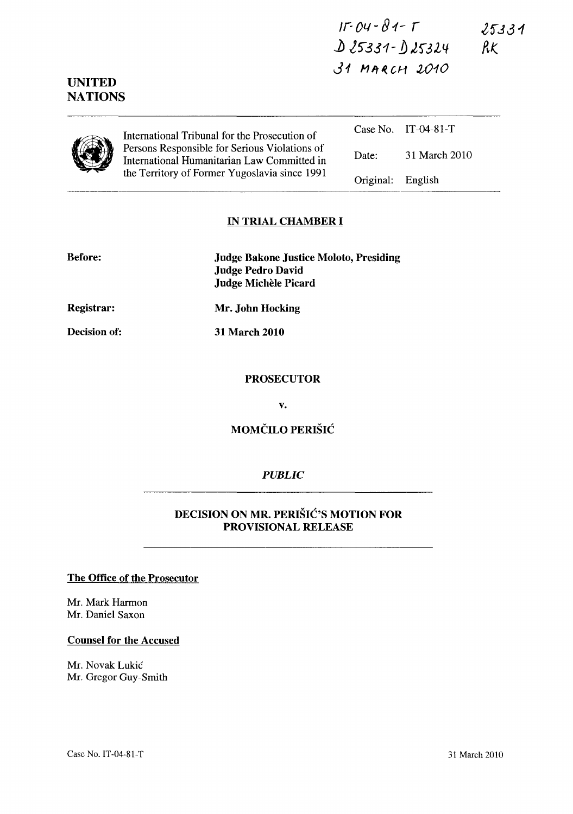<sup>J</sup>r~ **01./ -**B 1- r  $25331$ **)) l5"331-** *!J* **,lf3l4**   $31$  MARCH 2010

|  | International Tribunal for the Prosecution of<br>Persons Responsible for Serious Violations of<br>International Humanitarian Law Committed in<br>the Territory of Former Yugoslavia since 1991 |           | Case No. IT-04-81-T |
|--|------------------------------------------------------------------------------------------------------------------------------------------------------------------------------------------------|-----------|---------------------|
|  |                                                                                                                                                                                                | Date:     | 31 March 2010       |
|  |                                                                                                                                                                                                | Original: | English             |

#### **IN TRIAL CHAMBER I**

| <b>Before:</b> | <b>Judge Bakone Justice Moloto, Presiding</b><br><b>Judge Pedro David</b><br>Judge Michèle Picard |
|----------------|---------------------------------------------------------------------------------------------------|
| Registrar:     | Mr. John Hocking                                                                                  |
| Decision of:   | 31 March 2010                                                                                     |

## **PROSECUTOR**

v.

**MOMČILO PERIŠIĆ** 

# *PUBLIC*

# **DECISION ON MR. PERIŠIĆ'S MOTION FOR PROVISIONAL RELEASE**

#### **The Office of the Prosecutor**

Mr. Mark Harmon Mr. Daniel Saxon

**UNITED NATIONS** 

#### **Counsel for the Accused**

Mr. Novak Lukic Mr. Gregor Guy-Smith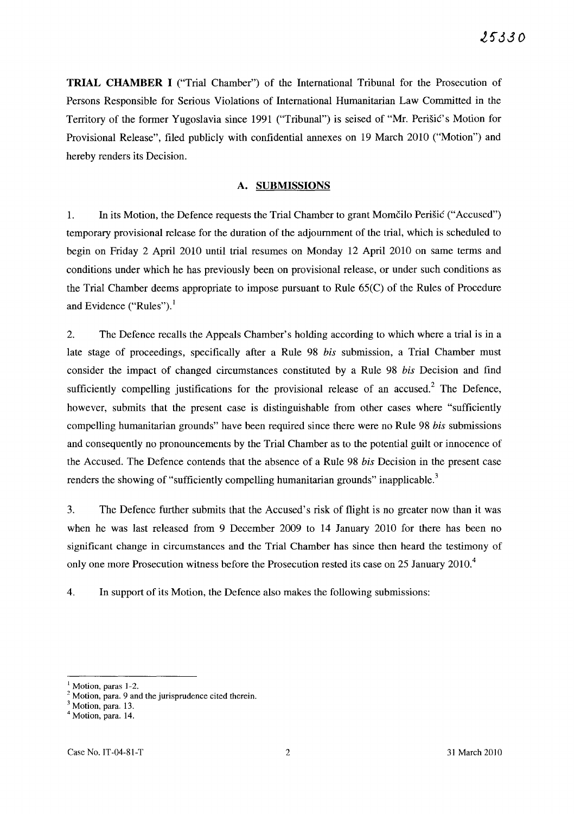TRIAL CHAMBER I ("Trial Chamber") of the International Tribunal for the Prosecution of Persons Responsible for Serious Violations of International Humanitarian Law Committed in the Territory of the former Yugoslavia since 1991 ("Tribunal") is seised of "Mr. Perišić's Motion for Provisional Release", filed publicly with confidential annexes on 19 March 2010 ("Motion") and hereby renders its Decision.

#### A. SUBMISSIONS

1. In its Motion, the Defence requests the Trial Chamber to grant Momčilo Perišic ("Accused") temporary provisional release for the duration of the adjournment of the trial, which is scheduled to begin on Friday 2 April 2010 until trial resumes on Monday 12 April 2010 on same terms and conditions under which he has previously been on provisional release, or under such conditions as the Trial Chamber deems appropriate to impose pursuant to Rule 65(C) of the Rules of Procedure and Evidence ("Rules").<sup>1</sup>

2. The Defence recalls the Appeals Chamber's holding according to which where a trial is in a late stage of proceedings, specifically after a Rule 98 *his* submission, a Trial Chamber must consider the impact of changed circumstances constituted by a Rule 98 *his* Decision and find sufficiently compelling justifications for the provisional release of an accused.<sup>2</sup> The Defence, however, submits that the present case is distinguishable from other cases where "sufficiently compelling humanitarian grounds" have been required since there were no Rule 98 *his* submissions and consequently no pronouncements by the Trial Chamber as to the potential guilt or innocence of the Accused. The Defence contends that the absence of a Rule 98 *his* Decision in the present case renders the showing of "sufficiently compelling humanitarian grounds" inapplicable.<sup>3</sup>

3. The Defence further submits that the Accused's risk of flight is no greater now than it was when he was last released from 9 December 2009 to 14 January 2010 for there has been no significant change in circumstances and the Trial Chamber has since then heard the testimony of only one more Prosecution witness before the Prosecution rested its case on 25 January 2010.<sup>4</sup>

4. In support of its Motion, the Defence also makes the following submissions:

 $<sup>1</sup>$  Motion, paras 1-2.</sup>

 $2$  Motion, para. 9 and the jurisprudence cited therein.

<sup>&</sup>lt;sup>3</sup> Motion, para. 13.

 $<sup>4</sup>$  Motion, para. 14.</sup>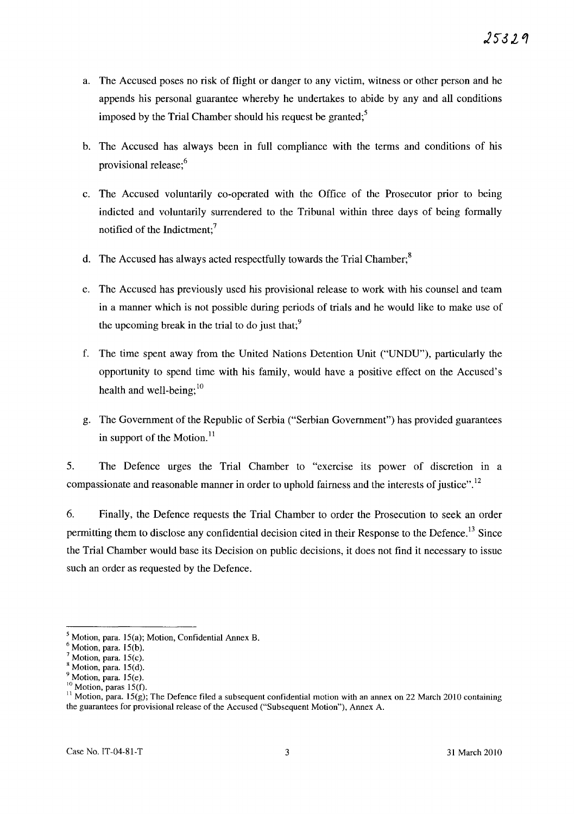- a. The Accused poses no risk of flight or danger to any victim, witness or other person and he appends his personal guarantee whereby he undertakes to abide by any and all conditions imposed by the Trial Chamber should his request be granted;<sup>5</sup>
- b. The Accused has always been in full compliance with the terms and conditions of his provisional release;6
- c. The Accused voluntarily co-operated with the Office of the Prosecutor prior to being indicted and voluntarily surrendered to the Tribunal within three days of being formally notified of the Indictment;<sup>7</sup>
- d. The Accused has always acted respectfully towards the Trial Chamber;<sup>8</sup>
- e. The Accused has previously used his provisional release to work with his counsel and team in a manner which is not possible during periods of trials and he would like to make use of the upcoming break in the trial to do just that; $\frac{9}{2}$
- f. The time spent away from the United Nations Detention Unit ("UNDU"), particularly the opportunity to spend time with his family, would have a positive effect on the Accused's health and well-being; $^{10}$
- g. The Government of the Republic of Serbia ("Serbian Government") has provided guarantees in support of the Motion. $^{11}$

5. The Defence urges the Trial Chamber to "exercise its power of discretion in a compassionate and reasonable manner in order to uphold fairness and the interests of justice".<sup>12</sup>

6. Finally, the Defence requests the Trial Chamber to order the Prosecution to seek an order permitting them to disclose any confidential decision cited in their Response to the Defence.<sup>13</sup> Since the Trial Chamber would base its Decision on public decisions, it does not find it necessary to issue such an order as requested by the Defence.

 $<sup>5</sup>$  Motion, para. 15(a); Motion, Confidential Annex B.</sup>

 $<sup>6</sup>$  Motion, para. 15(b).</sup>

Motion, para. 15(c).

Motion, para. 15(d).

Motion, para. 15(e).

 $10$  Motion, paras 15(f).

<sup>&</sup>lt;sup>11</sup> Motion, para. 15 $(g)$ ; The Defence filed a subsequent confidential motion with an annex on 22 March 2010 containing the guarantees for provisional release of the Accused ("Subsequent Motion"), Annex A.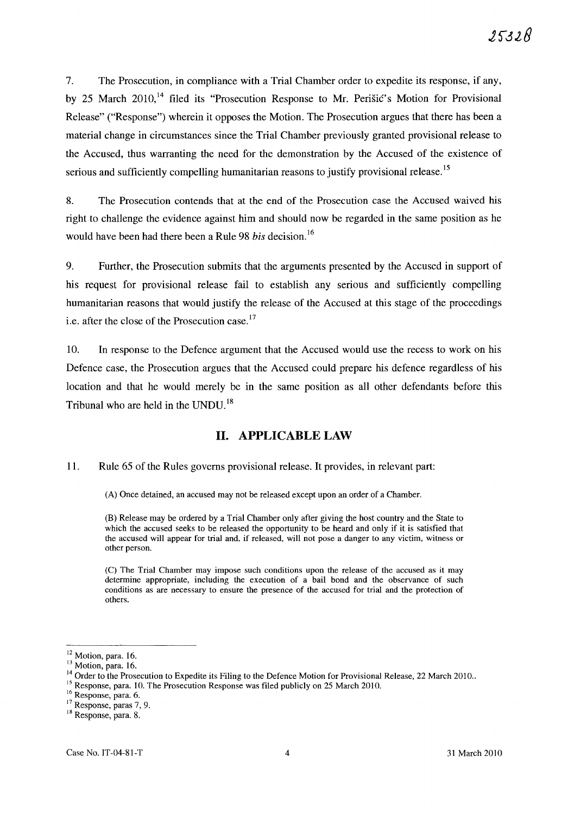7. The Prosecution, in compliance with a Trial Chamber order to expedite its response, if any, by 25 March 2010,<sup>14</sup> filed its "Prosecution Response to Mr. Perišić's Motion for Provisional Release" ("Response") wherein it opposes the Motion. The Prosecution argues that there has been a material change in circumstances since the Trial Chamber previously granted provisional release to the Accused, thus warranting the need for the demonstration by the Accused of the existence of serious and sufficiently compelling humanitarian reasons to justify provisional release.<sup>15</sup>

8. The Prosecution contends that at the end of the Prosecution case the Accused waived his right to challenge the evidence against him and should now be regarded in the same position as he would have been had there been a Rule 98 *his* decision. 16

9. Further, the Prosecution submits that the arguments presented by the Accused in support of his request for provisional release fail to establish any serious and sufficiently compelling humanitarian reasons that would justify the release of the Accused at this stage of the proceedings i.e. after the close of the Prosecution case.<sup>17</sup>

10. In response to the Defence argument that the Accused would use the recess to work on his Defence case, the Prosecution argues that the Accused could prepare his defence regardless of his location and that he would merely be in the same position as all other defendants before this Tribunal who are held in the UNDU.<sup>18</sup>

# **11. APPLICABLE LAW**

### 1l. Rule 65 of the Rules governs provisional release. It provides, in relevant part:

(A) Once detained, an accused may not be released except upon an order of a Chamber.

(B) Release may be ordered by a Trial Chamber only after giving the host country and the State to which the accused seeks to be released the opportunity to be heard and only if it is satisfied that the accused will appear for trial and, if released, will not pose a danger to any victim, witness or other person.

(C) The Trial Chamber may impose such conditions upon the release of the accused as it may determine appropriate, including the execution of a bail bond and the observance of such conditions as are necessary to ensure the presence of the accused for trial and the protection of others.

<sup>&</sup>lt;sup>12</sup> Motion, para. 16.

<sup>&</sup>lt;sup>13</sup> Motion, para. 16.

<sup>&</sup>lt;sup>14</sup> Order to the Prosecution to Expedite its Filing to the Defence Motion for Provisional Release, 22 March 2010..

<sup>&</sup>lt;sup>15</sup> Response, para. 10. The Prosecution Response was filed publicly on 25 March 2010.

<sup>&</sup>lt;sup>16</sup> Response, para. 6.

<sup>&</sup>lt;sup>17</sup> Response, paras 7, 9.

<sup>&</sup>lt;sup>18</sup> Response, para. 8.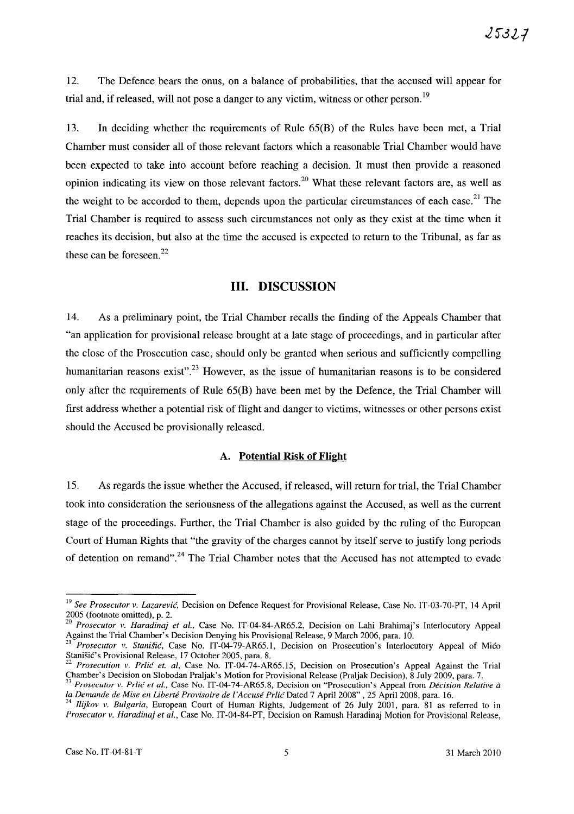12. The Defence bears the onus, on a balance of probabilities, that the accused will appear for trial and, if released, will not pose a danger to any victim, witness or other person.<sup>19</sup>

13. In deciding whether the requirements of Rule 65(B) of the Rules have been met, a Trial Chamber must consider all of those relevant factors which a reasonable Trial Chamber would have been expected to take into account before reaching a decision. It must then provide a reasoned opinion indicating its view on those relevant factors. 2o What these relevant factors are, as well as the weight to be accorded to them, depends upon the particular circumstances of each case.<sup>21</sup> The Trial Chamber is required to assess such circumstances not only as they exist at the time when it reaches its decision, but also at the time the accused is expected to return to the Tribunal, as far as these can be foreseen. $22$ 

## **Ill.** DISCUSSION

14. As a preliminary point, the Trial Chamber recalls the finding of the Appeals Chamber that "an application for provisional release brought at a late stage of proceedings, and in particular after the close of the Prosecution case, should only be granted when serious and sufficiently compelling humanitarian reasons exist".<sup>23</sup> However, as the issue of humanitarian reasons is to be considered only after the requirements of Rule 65(B) have been met by the Defence, the Trial Chamber will first address whether a potential risk of flight and danger to victims, witnesses or other persons exist should the Accused be provisionally released.

### A. Potential Risk of Flight

15. As regards the issue whether the Accused, if released, will return for trial, the Trial Chamber took into consideration the seriousness of the allegations against the Accused, as well as the current stage of the proceedings. Further, the Trial Chamber is also guided by the ruling of the European Court of Human Rights that "the gravity of the charges cannot by itself serve to justify long periods of detention on remand".<sup>24</sup> The Trial Chamber notes that the Accused has not attempted to evade

<sup>&</sup>lt;sup>19</sup> See Prosecutor v. Lazarević, Decision on Defence Request for Provisional Release, Case No. IT-03-70-PT, 14 April 2005 (footnote omitted), p. 2.

*<sup>20</sup> Prosecutor v. Haradinaj et aI.,* Case No. IT-04-S4-AR65.2, Decision on Lahi Brahimaj's Interlocutory Appeal Against the Trial Chamber's Decision Denying his Provisional Release, 9 March 2006, para. 10.<br><sup>21</sup> Prosecutor 31, Stevethen Control of Triangle 2005, para. 10.

<sup>21</sup>*Prosecutor v. Stanisic,* Case No. IT-04-79-AR65.1, Decision on Prosecution's Interlocutory Appeal of Mico Stanišić's Provisional Release, 17 October 2005, para. 8.

<sup>22</sup>*Prosecution v. Prlic et. ai,* Case No. IT-04-74-AR65.15, Decision on Prosecution's Appeal Against the Trial Chamber's Decision on Slobodan Praljak's Motion for Provisional Release (Praljak Decision), S July 2009, para. 7.

*<sup>23</sup> Prosecutor v. Prlic et aI.,* Case No. IT-04-74-AR65.8, Decision on "Prosecution's Appeal from *Decision Relative* ii *la Demande de Mise en Liberte Proviso ire de I 'Accuse PrlicDated* 7 Apri1200S" , 25 April 2008, para. 16.

*<sup>24</sup> Ilijkov v. Bulgaria,* European Court of Human Rights, Judgement of 26 July 2001, para. 81 as referred to in *Prosecutor v. Haradinaj et aI.,* Case No. IT-04-S4-PT, Decision on Ramush Haradinaj Motion for Provisional Release,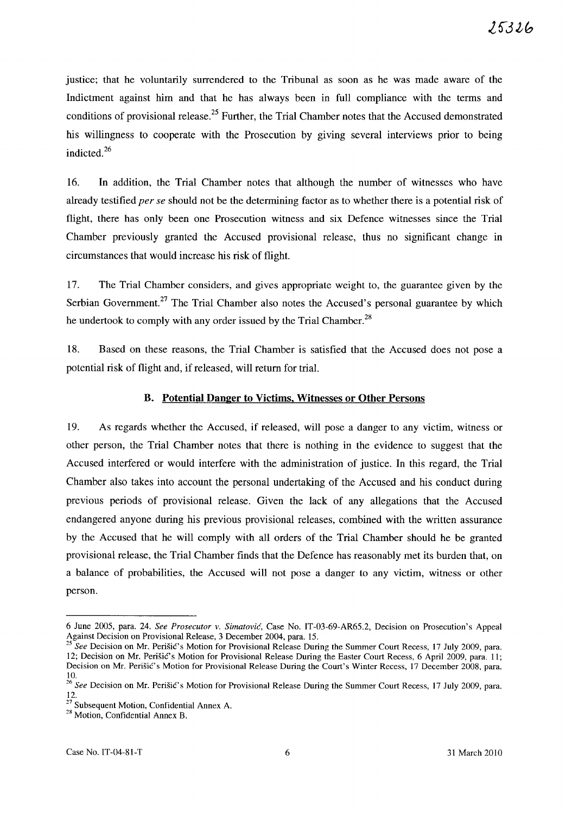justice; that he voluntarily surrendered to the Tribunal as soon as he was made aware of the Indictment against him and that he has always been in full compliance with the terms and conditions of provisional release.<sup>25</sup> Further, the Trial Chamber notes that the Accused demonstrated his willingness to cooperate with the Prosecution by giving several interviews prior to being indicted. 26

16. In addition, the Trial Chamber notes that although the number of witnesses who have already testified *per se* should not be the determining factor as to whether there is a potential risk of flight, there has only been one Prosecution witness and six Defence witnesses since the Trial Chamber previously granted the Accused provisional release, thus no significant change in circumstances that would increase his risk of flight.

17. The Trial Chamber considers, and gives appropriate weight to, the guarantee given by the Serbian Government.<sup>27</sup> The Trial Chamber also notes the Accused's personal guarantee by which he undertook to comply with any order issued by the Trial Chamber.<sup>28</sup>

18. Based on these reasons, the Trial Chamber is satisfied that the Accused does not pose a potential risk of flight and, if released, will return for trial.

## B. Potential Danger to Victims. Witnesses or Other Persons

19. As regards whether the Accused, if released, will pose a danger to any victim, witness or other person, the Trial Chamber notes that there is nothing in the evidence to suggest that the Accused interfered or would interfere with the administration of justice. In this regard, the Trial Chamber also takes into account the personal undertaking of the Accused and his conduct during previous periods of provisional release. Given the lack of any allegations that the Accused endangered anyone during his previous provisional releases, combined with the written assurance by the Accused that he will comply with all orders of the Trial Chamber should he be granted provisional release, the Trial Chamber finds that the Defence has reasonably met its burden that, on a balance of probabilities, the Accused will not pose a danger to any victim, witness or other person.

<sup>6</sup> June 2005, para. 24. *See Prosecutor* v. *Simatovic,* Case No. IT-03-69-AR65.2, Decision on Prosecution's Appeal Against Decision on Provisional Release, 3 December 2004, para. 15.

<sup>25</sup>*See* Decision on Mr. PerisiC's Motion for Provisional Release During the Summer Court Recess, 17 July 2009, para. 12; Decision on Mr. Perišić's Motion for Provisional Release During the Easter Court Recess, 6 April 2009, para. 11; Decision on Mr. Perišić's Motion for Provisional Release During the Court's Winter Recess, 17 December 2008, para. 10.

*<sup>26</sup> See* Decision on Mr. Perisic's Motion for Provisional Release During the Summer Court Recess, 17 July 2009, para. 12.

 $2^{\prime}$  Subsequent Motion, Confidential Annex A.

<sup>28</sup> Motion, Confidential Annex B.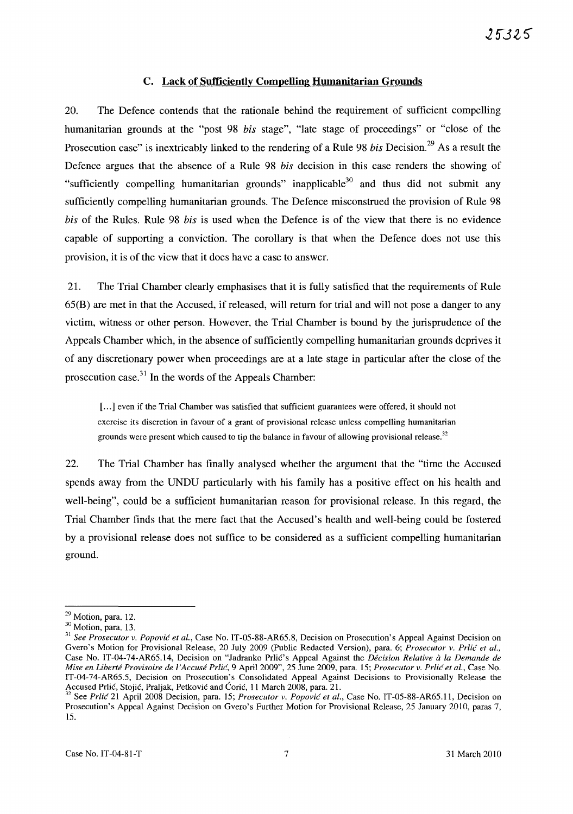## C. Lack of Sufficiently Compelling Humanitarian Grounds

20. The Defence contends that the rationale behind the requirement of sufficient compelling humanitarian grounds at the "post 98 *his* stage", "late stage of proceedings" or "close of the Prosecution case" is inextricably linked to the rendering of a Rule 98 *bis* Decision.<sup>29</sup> As a result the Defence argues that the absence of a Rule 98 *his* decision in this case renders the showing of "sufficiently compelling humanitarian grounds" inapplicable<sup>30</sup> and thus did not submit any sufficiently compelling humanitarian grounds. The Defence misconstrued the provision of Rule 98 *his* of the Rules. Rule 98 *his* is used when the Defence is of the view that there is no evidence capable of supporting a conviction. The corollary is that when the Defence does not use this provision, it is of the view that it does have a case to answer.

21. The Trial Chamber clearly emphasises that it is fully satisfied that the requirements of Rule 65(B) are met in that the Accused, if released, will return for trial and will not pose a danger to any victim, witness or other person. However, the Trial Chamber is bound by the jurisprudence of the Appeals Chamber which, in the absence of sufficiently compelling humanitarian grounds deprives it of any discretionary power when proceedings are at a late stage in particular after the close of the prosecution case.<sup>31</sup> In the words of the Appeals Chamber:

[...] even if the Trial Chamber was satisfied that sufficient guarantees were offered, it should not exercise its discretion in favour of a grant of provisional release unless compelling humanitarian grounds were present which caused to tip the balance in favour of allowing provisional release.<sup>32</sup>

22. The Trial Chamber has finally analysed whether the argument that the "time the Accused spends away from the UNDU particularly with his family has a positive effect on his health and well-being", could be a sufficient humanitarian reason for provisional release. In this regard, the Trial Chamber finds that the mere fact that the Accused's health and well-being could be fostered by a provisional release does not suffice to be considered as a sufficient compelling humanitarian ground.

<sup>&</sup>lt;sup>29</sup> Motion, para. 12.

<sup>30</sup> Motion, para. 13.

<sup>&</sup>lt;sup>31</sup> See Prosecutor v. Popović et al., Case No. IT-05-88-AR65.8, Decision on Prosecution's Appeal Against Decision on Gvero's Motion for Provisional Release, 20 July 2009 (Public Redacted Version), para. 6; *Prosecutor* v. *Prlic et aI.,*  Case No. IT-04-74-AR65.14, Decision on "Jadranko PrliC's Appeal Against the *Decision Relative a la Demande de Mise en Liberte Provisoire de ['Accuse Prlic,* 9 April 2009",25 June 2009, para. 15; *Prosecutor v. Prlic et aI.,* Case No. IT-04-74-AR6S.5, Decision on Prosecution's Consolidated Appeal Against Decisions to Provisionally Release the Accused Prlić, Stojić, Praljak, Petković and Ćorić, 11 March 2008, para. 21.

<sup>32</sup> See *Prlic* 21 April 2008 Decision, para. *IS; Prosecutor v. Popovic et aI.,* Case No. IT -OS-88-AR6S.11, Decision on Prosecution's Appeal Against Decision on Gvero's Further Motion for Provisional Release, 25 January 2010, paras 7, 15.